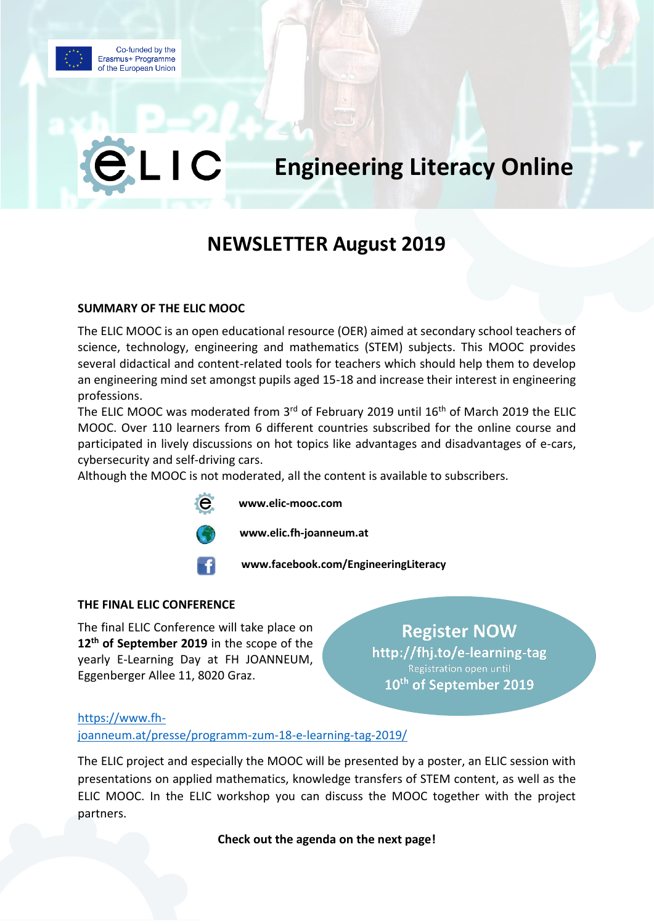

# **Engineering Literacy Online**

# **NEWSLETTER August 2019**

# **SUMMARY OF THE ELIC MOOC**

LIC

The ELIC MOOC is an open educational resource (OER) aimed at secondary school teachers of science, technology, engineering and mathematics (STEM) subjects. This MOOC provides several didactical and content-related tools for teachers which should help them to develop an engineering mind set amongst pupils aged 15-18 and increase their interest in engineering professions.

The ELIC MOOC was moderated from 3<sup>rd</sup> of February 2019 until 16<sup>th</sup> of March 2019 the ELIC MOOC. Over 110 learners from 6 different countries subscribed for the online course and participated in lively discussions on hot topics like advantages and disadvantages of e-cars, cybersecurity and self-driving cars.

Although the MOOC is not moderated, all the content is available to subscribers.





 $\Theta$ 



**www.elic.fh-joanneum.at**

**www.facebook.com/EngineeringLiteracy**

# **THE FINAL ELIC CONFERENCE**

The final ELIC Conference will take place on **12th of September 2019** in the scope of the yearly E-Learning Day at FH JOANNEUM, Eggenberger Allee 11, 8020 Graz.

**Register NOW** http://fhj.to/e-learning-tag Registration open until 10<sup>th</sup> of September 2019

# [https://www.fh-](https://www.fh-joanneum.at/presse/programm-zum-18-e-learning-tag-2019/)

[joanneum.at/presse/programm-zum-18-e-learning-tag-2019/](https://www.fh-joanneum.at/presse/programm-zum-18-e-learning-tag-2019/)

The ELIC project and especially the MOOC will be presented by a poster, an ELIC session with presentations on applied mathematics, knowledge transfers of STEM content, as well as the ELIC MOOC. In the ELIC workshop you can discuss the MOOC together with the project partners.

**Check out the agenda on the next page!**